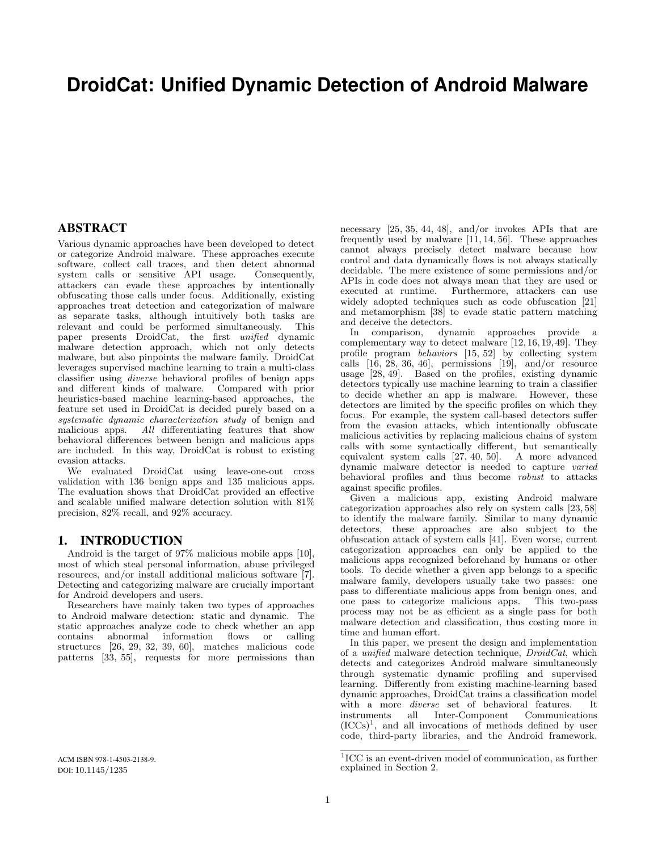# **DroidCat: Unified Dynamic Detection of Android Malware**

## ABSTRACT

Various dynamic approaches have been developed to detect or categorize Android malware. These approaches execute software, collect call traces, and then detect abnormal system calls or sensitive API usage. Consequently, attackers can evade these approaches by intentionally obfuscating those calls under focus. Additionally, existing approaches treat detection and categorization of malware as separate tasks, although intuitively both tasks are relevant and could be performed simultaneously. This paper presents DroidCat, the first unified dynamic malware detection approach, which not only detects malware, but also pinpoints the malware family. DroidCat leverages supervised machine learning to train a multi-class classifier using *diverse* behavioral profiles of benign apps and different kinds of malware. Compared with prior and different kinds of malware. heuristics-based machine learning-based approaches, the feature set used in DroidCat is decided purely based on a systematic dynamic characterization study of benign and malicious apps. All differentiating features that show behavioral differences between benign and malicious apps are included. In this way, DroidCat is robust to existing evasion attacks.

We evaluated DroidCat using leave-one-out cross validation with 136 benign apps and 135 malicious apps. The evaluation shows that DroidCat provided an effective and scalable unified malware detection solution with 81% precision, 82% recall, and 92% accuracy.

# 1. INTRODUCTION

Android is the target of 97% malicious mobile apps [\[10\]](#page-10-0), most of which steal personal information, abuse privileged resources, and/or install additional malicious software [\[7\]](#page-10-1). Detecting and categorizing malware are crucially important for Android developers and users.

Researchers have mainly taken two types of approaches to Android malware detection: static and dynamic. The static approaches analyze code to check whether an app contains abnormal information flows or calling structures [\[26,](#page-10-2) [29,](#page-10-3) [32,](#page-10-4) [39,](#page-11-0) [60\]](#page-11-1), matches malicious code patterns [\[33,](#page-10-5) [55\]](#page-11-2), requests for more permissions than

necessary [\[25,](#page-10-6) [35,](#page-10-7) [44,](#page-11-3) [48\]](#page-11-4), and/or invokes APIs that are frequently used by malware [\[11,](#page-10-8) [14,](#page-10-9) [56\]](#page-11-5). These approaches cannot always precisely detect malware because how control and data dynamically flows is not always statically decidable. The mere existence of some permissions and/or APIs in code does not always mean that they are used or executed at runtime. Furthermore, attackers can use widely adopted techniques such as code obfuscation [\[21\]](#page-10-10) and metamorphism [\[38\]](#page-11-6) to evade static pattern matching and deceive the detectors.

In comparison, dynamic approaches provide a complementary way to detect malware [\[12,](#page-10-11) [16,](#page-10-12) [19,](#page-10-13) [49\]](#page-11-7). They profile program behaviors [\[15,](#page-10-14) [52\]](#page-11-8) by collecting system calls  $[16, 28, 36, 46]$  $[16, 28, 36, 46]$  $[16, 28, 36, 46]$  $[16, 28, 36, 46]$ , permissions  $[19]$ , and/or resource usage [\[28,](#page-10-15) [49\]](#page-11-7). Based on the profiles, existing dynamic detectors typically use machine learning to train a classifier to decide whether an app is malware. However, these detectors are limited by the specific profiles on which they focus. For example, the system call-based detectors suffer from the evasion attacks, which intentionally obfuscate malicious activities by replacing malicious chains of system calls with some syntactically different, but semantically equivalent system calls [\[27,](#page-10-16) [40,](#page-11-11) [50\]](#page-11-12). A more advanced dynamic malware detector is needed to capture varied behavioral profiles and thus become robust to attacks against specific profiles.

Given a malicious app, existing Android malware categorization approaches also rely on system calls [\[23,](#page-10-17) [58\]](#page-11-13) to identify the malware family. Similar to many dynamic detectors, these approaches are also subject to the obfuscation attack of system calls [\[41\]](#page-11-14). Even worse, current categorization approaches can only be applied to the malicious apps recognized beforehand by humans or other tools. To decide whether a given app belongs to a specific malware family, developers usually take two passes: one pass to differentiate malicious apps from benign ones, and one pass to categorize malicious apps. process may not be as efficient as a single pass for both malware detection and classification, thus costing more in time and human effort.

In this paper, we present the design and implementation of a unified malware detection technique, DroidCat, which detects and categorizes Android malware simultaneously through systematic dynamic profiling and supervised learning. Differently from existing machine-learning based dynamic approaches, DroidCat trains a classification model with a more *diverse* set of behavioral features. It instruments all Inter-Component Communications all Inter-Component  $(ICCs)^1$  $(ICCs)^1$ , and all invocations of methods defined by user code, third-party libraries, and the Android framework.

<span id="page-0-0"></span><sup>&</sup>lt;sup>1</sup>ICC is an event-driven model of communication, as further explained in Section [2.](#page-1-0)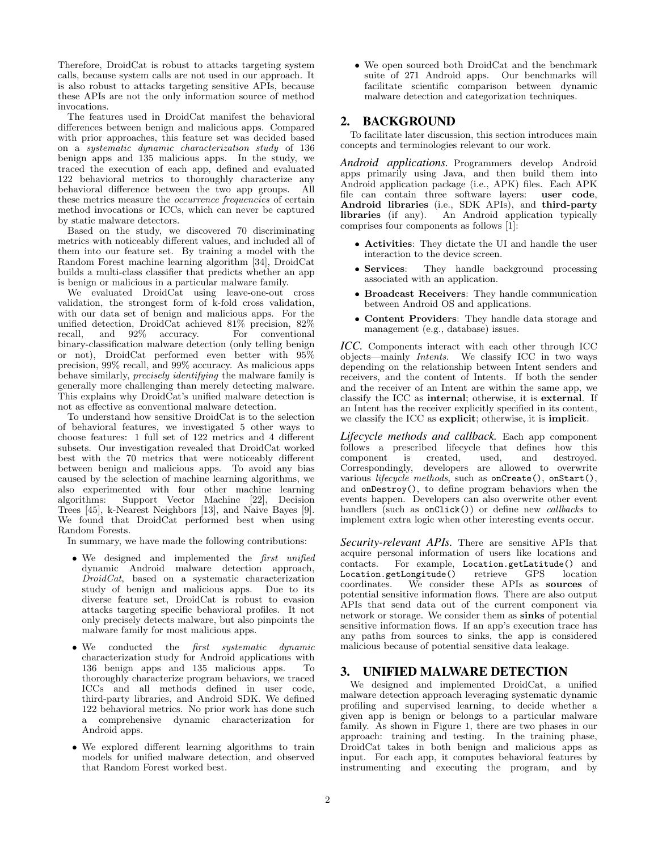Therefore, DroidCat is robust to attacks targeting system calls, because system calls are not used in our approach. It is also robust to attacks targeting sensitive APIs, because these APIs are not the only information source of method invocations.

The features used in DroidCat manifest the behavioral differences between benign and malicious apps. Compared with prior approaches, this feature set was decided based on a systematic dynamic characterization study of 136 benign apps and 135 malicious apps. In the study, we traced the execution of each app, defined and evaluated 122 behavioral metrics to thoroughly characterize any behavioral difference between the two app groups. All these metrics measure the occurrence frequencies of certain method invocations or ICCs, which can never be captured by static malware detectors.

Based on the study, we discovered 70 discriminating metrics with noticeably different values, and included all of them into our feature set. By training a model with the Random Forest machine learning algorithm [\[34\]](#page-10-18), DroidCat builds a multi-class classifier that predicts whether an app is benign or malicious in a particular malware family.

We evaluated DroidCat using leave-one-out cross validation, the strongest form of k-fold cross validation, with our data set of benign and malicious apps. For the unified detection, DroidCat achieved 81% precision, 82% recall, and 92% accuracy. For conventional binary-classification malware detection (only telling benign or not), DroidCat performed even better with 95% precision, 99% recall, and 99% accuracy. As malicious apps behave similarly, precisely identifying the malware family is generally more challenging than merely detecting malware. This explains why DroidCat's unified malware detection is not as effective as conventional malware detection.

To understand how sensitive DroidCat is to the selection of behavioral features, we investigated 5 other ways to choose features: 1 full set of 122 metrics and 4 different subsets. Our investigation revealed that DroidCat worked best with the 70 metrics that were noticeably different between benign and malicious apps. To avoid any bias caused by the selection of machine learning algorithms, we also experimented with four other machine learning algorithms: Support Vector Machine [\[22\]](#page-10-19), Decision Trees [\[45\]](#page-11-15), k-Nearest Neighbors [\[13\]](#page-10-20), and Naive Bayes [\[9\]](#page-10-21). We found that DroidCat performed best when using Random Forests.

In summary, we have made the following contributions:

- We designed and implemented the *first unified* dynamic Android malware detection approach,  $\tilde{D}roidCat$ , based on a systematic characterization study of benign and malicious apps. Due to its diverse feature set, DroidCat is robust to evasion attacks targeting specific behavioral profiles. It not only precisely detects malware, but also pinpoints the malware family for most malicious apps.
- We conducted the *first systematic dynamic* characterization study for Android applications with 136 benign apps and 135 malicious apps. To thoroughly characterize program behaviors, we traced ICCs and all methods defined in user code, third-party libraries, and Android SDK. We defined 122 behavioral metrics. No prior work has done such a comprehensive dynamic characterization for Android apps.
- We explored different learning algorithms to train models for unified malware detection, and observed that Random Forest worked best.

• We open sourced both DroidCat and the benchmark suite of 271 Android apps. Our benchmarks will facilitate scientific comparison between dynamic malware detection and categorization techniques.

# <span id="page-1-0"></span>2. BACKGROUND

To facilitate later discussion, this section introduces main concepts and terminologies relevant to our work.

*Android applications.* Programmers develop Android apps primarily using Java, and then build them into Android application package (i.e., APK) files. Each APK file can contain three software layers: user code, Android libraries (i.e., SDK APIs), and third-party libraries (if any). An Android application typically comprises four components as follows [\[1\]](#page-10-22):

- Activities: They dictate the UI and handle the user interaction to the device screen.
- Services: They handle background processing associated with an application.
- Broadcast Receivers: They handle communication between Android OS and applications.
- Content Providers: They handle data storage and management (e.g., database) issues.

*ICC.* Components interact with each other through ICC objects—mainly Intents. We classify ICC in two ways depending on the relationship between Intent senders and receivers, and the content of Intents. If both the sender and the receiver of an Intent are within the same app, we classify the ICC as internal; otherwise, it is external. If an Intent has the receiver explicitly specified in its content, we classify the ICC as explicit; otherwise, it is implicit.

*Lifecycle methods and callback.* Each app component follows a prescribed lifecycle that defines how this component is created, used, and destroyed. Correspondingly, developers are allowed to overwrite various lifecycle methods, such as onCreate(), onStart(), and onDestroy(), to define program behaviors when the events happen. Developers can also overwrite other event handlers (such as onClick()) or define new *callbacks* to implement extra logic when other interesting events occur.

Security-relevant APIs. There are sensitive APIs that acquire personal information of users like locations and contacts. For example, Location.getLatitude() and For example, Location.getLatitude() and<br>getLongitude() retrieve GPS location Location.getLongitude()<br>coordinates. We conside We consider these APIs as sources of potential sensitive information flows. There are also output APIs that send data out of the current component via network or storage. We consider them as sinks of potential sensitive information flows. If an app's execution trace has any paths from sources to sinks, the app is considered malicious because of potential sensitive data leakage.

# 3. UNIFIED MALWARE DETECTION

We designed and implemented DroidCat, a unified malware detection approach leveraging systematic dynamic profiling and supervised learning, to decide whether a given app is benign or belongs to a particular malware family. As shown in Figure [1,](#page-2-0) there are two phases in our approach: training and testing. In the training phase, DroidCat takes in both benign and malicious apps as input. For each app, it computes behavioral features by instrumenting and executing the program, and by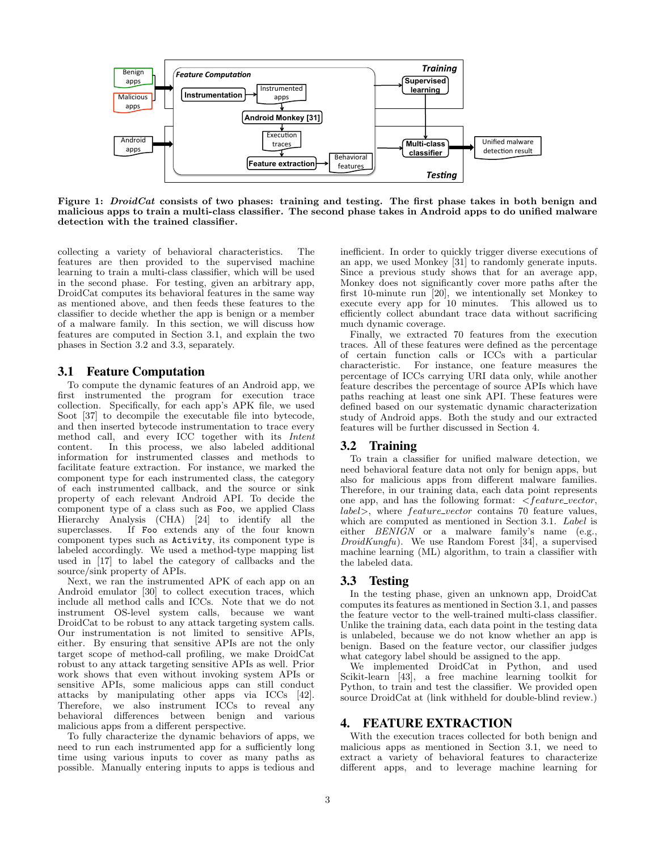

<span id="page-2-0"></span>Figure 1: *DroidCat* consists of two phases: training and testing. The first phase takes in both benign and malicious apps to train a multi-class classifier. The second phase takes in Android apps to do unified malware detection with the trained classifier.

collecting a variety of behavioral characteristics. The features are then provided to the supervised machine learning to train a multi-class classifier, which will be used in the second phase. For testing, given an arbitrary app, DroidCat computes its behavioral features in the same way as mentioned above, and then feeds these features to the classifier to decide whether the app is benign or a member of a malware family. In this section, we will discuss how features are computed in Section [3.1,](#page-2-1) and explain the two phases in Section [3.2](#page-2-2) and [3.3,](#page-2-3) separately.

# <span id="page-2-1"></span>3.1 Feature Computation

To compute the dynamic features of an Android app, we first instrumented the program for execution trace collection. Specifically, for each app's APK file, we used Soot [\[37\]](#page-11-16) to decompile the executable file into bytecode, and then inserted bytecode instrumentation to trace every method call, and every ICC together with its Intent content. In this process, we also labeled additional information for instrumented classes and methods to facilitate feature extraction. For instance, we marked the component type for each instrumented class, the category of each instrumented callback, and the source or sink property of each relevant Android API. To decide the component type of a class such as Foo, we applied Class Hierarchy Analysis (CHA) [\[24\]](#page-10-23) to identify all the superclasses. If Foo extends any of the four known component types such as Activity, its component type is labeled accordingly. We used a method-type mapping list used in [\[17\]](#page-10-24) to label the category of callbacks and the source/sink property of APIs.

Next, we ran the instrumented APK of each app on an Android emulator [\[30\]](#page-10-25) to collect execution traces, which include all method calls and ICCs. Note that we do not instrument OS-level system calls, because we want DroidCat to be robust to any attack targeting system calls. Our instrumentation is not limited to sensitive APIs, either. By ensuring that sensitive APIs are not the only target scope of method-call profiling, we make DroidCat robust to any attack targeting sensitive APIs as well. Prior work shows that even without invoking system APIs or sensitive APIs, some malicious apps can still conduct attacks by manipulating other apps via ICCs [\[42\]](#page-11-17). Therefore, we also instrument ICCs to reveal any behavioral differences between benign and various malicious apps from a different perspective.

To fully characterize the dynamic behaviors of apps, we need to run each instrumented app for a sufficiently long time using various inputs to cover as many paths as possible. Manually entering inputs to apps is tedious and inefficient. In order to quickly trigger diverse executions of an app, we used Monkey [\[31\]](#page-10-26) to randomly generate inputs. Since a previous study shows that for an average app, Monkey does not significantly cover more paths after the first 10-minute run [\[20\]](#page-10-27), we intentionally set Monkey to execute every app for 10 minutes. This allowed us to efficiently collect abundant trace data without sacrificing much dynamic coverage.

Finally, we extracted 70 features from the execution traces. All of these features were defined as the percentage of certain function calls or ICCs with a particular characteristic. For instance, one feature measures the percentage of ICCs carrying URI data only, while another feature describes the percentage of source APIs which have paths reaching at least one sink API. These features were defined based on our systematic dynamic characterization study of Android apps. Both the study and our extracted features will be further discussed in Section [4.](#page-2-4)

### <span id="page-2-2"></span>3.2 Training

To train a classifier for unified malware detection, we need behavioral feature data not only for benign apps, but also for malicious apps from different malware families. Therefore, in our training data, each data point represents one app, and has the following format:  $\leq$  *feature\_vector*, label>, where *feature\_vector* contains 70 feature values, which are computed as mentioned in Section [3.1.](#page-2-1) Label is either  $BENI\hat{G}N$  or a malware family's name (e.g.,  $DroidKungfu$ . We use Random Forest [\[34\]](#page-10-18), a supervised machine learning (ML) algorithm, to train a classifier with the labeled data.

### <span id="page-2-3"></span>3.3 Testing

In the testing phase, given an unknown app, DroidCat computes its features as mentioned in Section [3.1,](#page-2-1) and passes the feature vector to the well-trained multi-class classifier. Unlike the training data, each data point in the testing data is unlabeled, because we do not know whether an app is benign. Based on the feature vector, our classifier judges what category label should be assigned to the app.

We implemented DroidCat in Python, and used Scikit-learn [\[43\]](#page-11-18), a free machine learning toolkit for Python, to train and test the classifier. We provided open source DroidCat at (link withheld for double-blind review.)

# <span id="page-2-4"></span>4. FEATURE EXTRACTION

With the execution traces collected for both benign and malicious apps as mentioned in Section [3.1,](#page-2-1) we need to extract a variety of behavioral features to characterize different apps, and to leverage machine learning for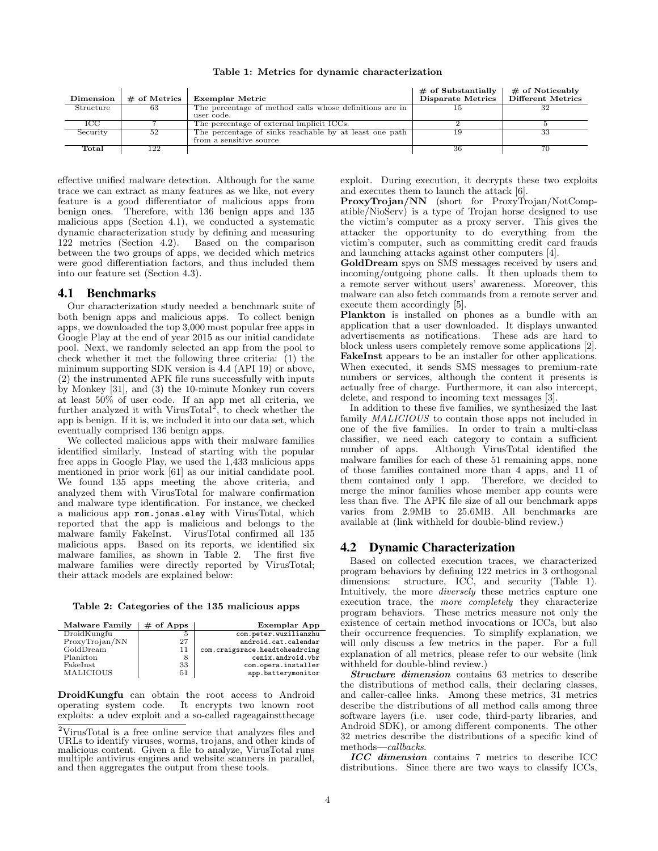<span id="page-3-4"></span>Table 1: Metrics for dynamic characterization

| Dimension | $\#$ of Metrics | Exemplar Metric                                         | $\#$ of Substantially<br>Disparate Metrics | $\#$ of Noticeably<br>Different Metrics |
|-----------|-----------------|---------------------------------------------------------|--------------------------------------------|-----------------------------------------|
| Structure | 63              | The percentage of method calls whose definitions are in |                                            |                                         |
|           |                 | user code.                                              |                                            |                                         |
| 1CC.      |                 | The percentage of external implicit ICCs.               |                                            |                                         |
| Security  | 52              | The percentage of sinks reachable by at least one path  |                                            | 33                                      |
|           |                 | from a sensitive source                                 |                                            |                                         |
| Total     | 122             |                                                         | 36                                         |                                         |

effective unified malware detection. Although for the same trace we can extract as many features as we like, not every feature is a good differentiator of malicious apps from benign ones. Therefore, with 136 benign apps and 135 malicious apps (Section [4.1\)](#page-3-0), we conducted a systematic dynamic characterization study by defining and measuring 122 metrics (Section [4.2\)](#page-3-1). Based on the comparison between the two groups of apps, we decided which metrics were good differentiation factors, and thus included them into our feature set (Section [4.3\)](#page-4-0).

#### <span id="page-3-0"></span>4.1 Benchmarks

Our characterization study needed a benchmark suite of both benign apps and malicious apps. To collect benign apps, we downloaded the top 3,000 most popular free apps in Google Play at the end of year 2015 as our initial candidate pool. Next, we randomly selected an app from the pool to check whether it met the following three criteria: (1) the minimum supporting SDK version is 4.4 (API 19) or above, (2) the instrumented APK file runs successfully with inputs by Monkey [\[31\]](#page-10-26), and (3) the 10-minute Monkey run covers at least 50% of user code. If an app met all criteria, we further analyzed it with VirusTotal<sup>[2](#page-3-2)</sup>, to check whether the app is benign. If it is, we included it into our data set, which eventually comprised 136 benign apps.

We collected malicious apps with their malware families identified similarly. Instead of starting with the popular free apps in Google Play, we used the 1,433 malicious apps mentioned in prior work [\[61\]](#page-11-19) as our initial candidate pool. We found 135 apps meeting the above criteria, and analyzed them with VirusTotal for malware confirmation and malware type identification. For instance, we checked a malicious app rom.jonas.eley with VirusTotal, which reported that the app is malicious and belongs to the malware family FakeInst. VirusTotal confirmed all 135 malicious apps. Based on its reports, we identified six malware families, as shown in Table [2.](#page-3-3) The first five malware families were directly reported by VirusTotal; their attack models are explained below:

<span id="page-3-3"></span>

|  | Table 2: Categories of the 135 malicious apps |  |  |  |  |
|--|-----------------------------------------------|--|--|--|--|
|--|-----------------------------------------------|--|--|--|--|

| Malware Family   | $#$ of Apps | <b>Exemplar App</b>            |
|------------------|-------------|--------------------------------|
| DroidKungfu      |             | com.peter.wuzilianzhu          |
| ProxyTrojan/NN   | 27          | android.cat.calendar           |
| GoldDream        | 11          | com.craigsrace.headtoheadrcing |
| Plankton         |             | cenix.android.vbr              |
| FakeInst         | 33          | com.opera.installer            |
| <b>MALICIOUS</b> | 51          | app.batterymonitor             |

DroidKungfu can obtain the root access to Android operating system code. It encrypts two known root exploits: a udev exploit and a so-called rageagainstthecage

exploit. During execution, it decrypts these two exploits and executes them to launch the attack [\[6\]](#page-10-28).

ProxyTrojan/NN (short for ProxyTrojan/NotCompatible/NioServ) is a type of Trojan horse designed to use the victim's computer as a proxy server. This gives the attacker the opportunity to do everything from the victim's computer, such as committing credit card frauds and launching attacks against other computers [\[4\]](#page-10-29).

GoldDream spys on SMS messages received by users and incoming/outgoing phone calls. It then uploads them to a remote server without users' awareness. Moreover, this malware can also fetch commands from a remote server and execute them accordingly [\[5\]](#page-10-30).

Plankton is installed on phones as a bundle with an application that a user downloaded. It displays unwanted advertisements as notifications. These ads are hard to block unless users completely remove some applications [\[2\]](#page-10-31). FakeInst appears to be an installer for other applications. When executed, it sends SMS messages to premium-rate numbers or services, although the content it presents is actually free of charge. Furthermore, it can also intercept, delete, and respond to incoming text messages [\[3\]](#page-10-32).

In addition to these five families, we synthesized the last family MALICIOUS to contain those apps not included in one of the five families. In order to train a multi-class classifier, we need each category to contain a sufficient number of apps. Although VirusTotal identified the malware families for each of these 51 remaining apps, none of those families contained more than 4 apps, and 11 of them contained only 1 app. Therefore, we decided to merge the minor families whose member app counts were less than five. The APK file size of all our benchmark apps varies from 2.9MB to 25.6MB. All benchmarks are available at (link withheld for double-blind review.)

### <span id="page-3-1"></span>4.2 Dynamic Characterization

Based on collected execution traces, we characterized program behaviors by defining 122 metrics in 3 orthogonal dimensions: structure, ICC, and security (Table [1\)](#page-3-4). Intuitively, the more diversely these metrics capture one execution trace, the more completely they characterize program behaviors. These metrics measure not only the existence of certain method invocations or ICCs, but also their occurrence frequencies. To simplify explanation, we will only discuss a few metrics in the paper. For a full explanation of all metrics, please refer to our website (link withheld for double-blind review.)

Structure dimension contains 63 metrics to describe the distributions of method calls, their declaring classes, and caller-callee links. Among these metrics, 31 metrics describe the distributions of all method calls among three software layers (i.e. user code, third-party libraries, and Android SDK), or among different components. The other 32 metrics describe the distributions of a specific kind of methods—callbacks.

ICC dimension contains 7 metrics to describe ICC distributions. Since there are two ways to classify ICCs,

<span id="page-3-2"></span><sup>2</sup>VirusTotal is a free online service that analyzes files and URLs to identify viruses, worms, trojans, and other kinds of malicious content. Given a file to analyze, VirusTotal runs multiple antivirus engines and website scanners in parallel, and then aggregates the output from these tools.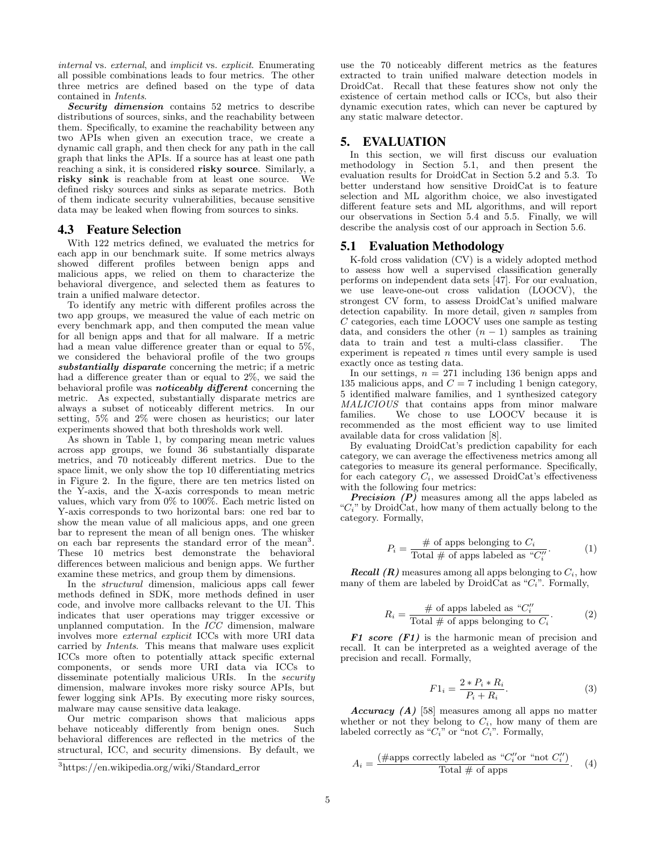internal vs. external, and implicit vs. explicit. Enumerating all possible combinations leads to four metrics. The other three metrics are defined based on the type of data contained in Intents.

Security dimension contains 52 metrics to describe distributions of sources, sinks, and the reachability between them. Specifically, to examine the reachability between any two APIs when given an execution trace, we create a dynamic call graph, and then check for any path in the call graph that links the APIs. If a source has at least one path reaching a sink, it is considered risky source. Similarly, a risky sink is reachable from at least one source. We defined risky sources and sinks as separate metrics. Both of them indicate security vulnerabilities, because sensitive data may be leaked when flowing from sources to sinks.

# <span id="page-4-0"></span>4.3 Feature Selection

With 122 metrics defined, we evaluated the metrics for each app in our benchmark suite. If some metrics always showed different profiles between benign apps and malicious apps, we relied on them to characterize the behavioral divergence, and selected them as features to train a unified malware detector.

To identify any metric with different profiles across the two app groups, we measured the value of each metric on every benchmark app, and then computed the mean value for all benign apps and that for all malware. If a metric had a mean value difference greater than or equal to 5%, we considered the behavioral profile of the two groups substantially disparate concerning the metric; if a metric had a difference greater than or equal to 2%, we said the behavioral profile was **noticeably different** concerning the metric. As expected, substantially disparate metrics are always a subset of noticeably different metrics. In our setting, 5% and 2% were chosen as heuristics; our later experiments showed that both thresholds work well.

As shown in Table [1,](#page-3-4) by comparing mean metric values across app groups, we found 36 substantially disparate metrics, and 70 noticeably different metrics. Due to the space limit, we only show the top 10 differentiating metrics in Figure [2.](#page-5-0) In the figure, there are ten metrics listed on the Y-axis, and the X-axis corresponds to mean metric values, which vary from 0% to 100%. Each metric listed on Y-axis corresponds to two horizontal bars: one red bar to show the mean value of all malicious apps, and one green bar to represent the mean of all benign ones. The whisker on each bar represents the standard error of the mean<sup>[3](#page-4-1)</sup>. These 10 metrics best demonstrate the behavioral differences between malicious and benign apps. We further examine these metrics, and group them by dimensions.

In the structural dimension, malicious apps call fewer methods defined in SDK, more methods defined in user code, and involve more callbacks relevant to the UI. This indicates that user operations may trigger excessive or unplanned computation. In the ICC dimension, malware involves more external explicit ICCs with more URI data carried by Intents. This means that malware uses explicit ICCs more often to potentially attack specific external components, or sends more URI data via ICCs to disseminate potentially malicious URIs. In the *security* dimension, malware invokes more risky source APIs, but fewer logging sink APIs. By executing more risky sources, malware may cause sensitive data leakage.

Our metric comparison shows that malicious apps behave noticeably differently from benign ones. Such behavioral differences are reflected in the metrics of the structural, ICC, and security dimensions. By default, we use the 70 noticeably different metrics as the features extracted to train unified malware detection models in DroidCat. Recall that these features show not only the existence of certain method calls or ICCs, but also their dynamic execution rates, which can never be captured by any static malware detector.

### 5. EVALUATION

In this section, we will first discuss our evaluation methodology in Section [5.1,](#page-4-2) and then present the evaluation results for DroidCat in Section [5.2](#page-5-1) and [5.3.](#page-6-0) To better understand how sensitive DroidCat is to feature selection and ML algorithm choice, we also investigated different feature sets and ML algorithms, and will report our observations in Section [5.4](#page-6-1) and [5.5.](#page-7-0) Finally, we will describe the analysis cost of our approach in Section [5.6.](#page-8-0)

### <span id="page-4-2"></span>5.1 Evaluation Methodology

K-fold cross validation (CV) is a widely adopted method to assess how well a supervised classification generally performs on independent data sets [\[47\]](#page-11-20). For our evaluation, we use leave-one-out cross validation (LOOCV), the strongest CV form, to assess DroidCat's unified malware detection capability. In more detail, given  $n$  samples from C categories, each time LOOCV uses one sample as testing data, and considers the other  $(n - 1)$  samples as training data to train and test a multi-class classifier. The experiment is repeated  $n$  times until every sample is used exactly once as testing data.

In our settings,  $n = 271$  including 136 benign apps and 135 malicious apps, and  $C = 7$  including 1 benign category, 5 identified malware families, and 1 synthesized category MALICIOUS that contains apps from minor malware families. We chose to use LOOCV because it is recommended as the most efficient way to use limited available data for cross validation [\[8\]](#page-10-33).

By evaluating DroidCat's prediction capability for each category, we can average the effectiveness metrics among all categories to measure its general performance. Specifically, for each category  $C_i$ , we assessed DroidCat's effectiveness with the following four metrics:

**Precision**  $(P)$  measures among all the apps labeled as " $C_i$ " by DroidCat, how many of them actually belong to the category. Formally,

$$
P_i = \frac{\text{# of apps belonging to } C_i}{\text{Total # of apps labeled as "C"_i}'}.
$$
 (1)

**Recall (R)** measures among all apps belonging to  $C_i$ , how many of them are labeled by DroidCat as " $C_i$ ". Formally,

$$
R_i = \frac{\text{# of apps labeled as "C''_i}{\text{Total # of apps belonging to } C_i}.
$$
 (2)

F1 score  $(F1)$  is the harmonic mean of precision and recall. It can be interpreted as a weighted average of the precision and recall. Formally,

$$
F1_i = \frac{2 * P_i * R_i}{P_i + R_i}.
$$
 (3)

Accuracy  $(A)$  [\[58\]](#page-11-13) measures among all apps no matter whether or not they belong to  $C_i$ , how many of them are labeled correctly as " $C_i$ " or "not  $C_i$ ". Formally,

$$
A_i = \frac{(\text{\#apps correctly labeled as "C''_i" or "not C''_i")}}{\text{Total \# of apps}}.
$$
 (4)

<span id="page-4-1"></span><sup>3</sup>https://en.wikipedia.org/wiki/Standard error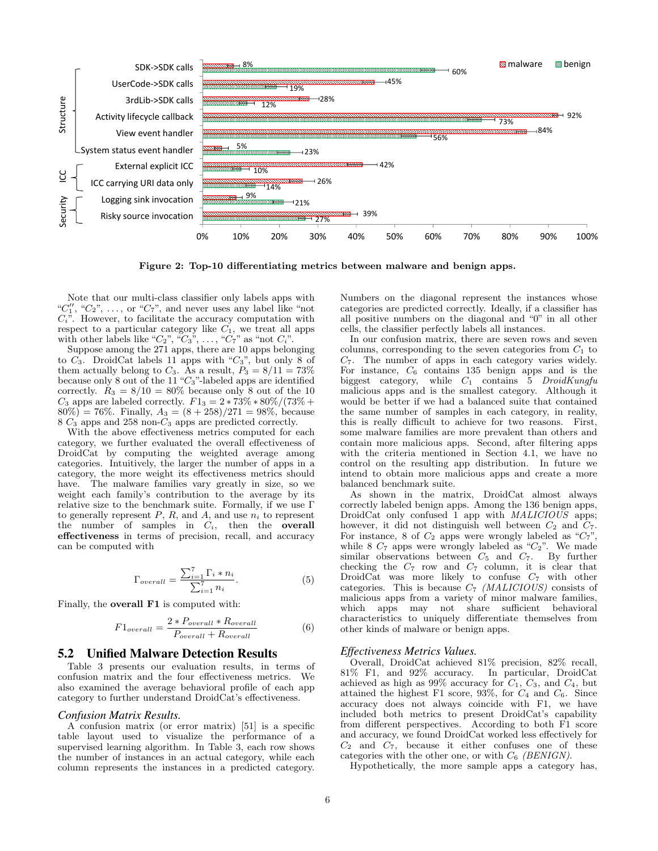

<span id="page-5-0"></span>Figure 2: Top-10 differentiating metrics between malware and benign apps.

Note that our multi-class classifier only labels apps with " $C_1''$ , " $C_2$ ", ..., or " $C_7$ ", and never uses any label like "not  $C_i$ ". However, to facilitate the accuracy computation with respect to a particular category like  $C_1$ , we treat all apps with other labels like " $C_2$ ", " $C_3$ ", ..., " $C_7$ " as "not  $C_i$ ".

Suppose among the 271 apps, there are 10 apps belonging to  $C_3$ . DroidCat labels 11 apps with " $C_3$ ", but only 8 of them actually belong to  $C_3$ . As a result,  $P_3 = 8/11 = 73\%$ because only 8 out of the 11 " $C_3$ "-labeled apps are identified correctly.  $R_3 = 8/10 = 80\%$  because only 8 out of the 10  $C_3$  apps are labeled correctly.  $F1_3 = 2 * 73\% * 80\% / (73\% +$  $80\%) = 76\%.$  Finally,  $A_3 = (8 + 258)/271 = 98\%$ , because  $8 C_3$  apps and 258 non- $C_3$  apps are predicted correctly.

With the above effectiveness metrics computed for each category, we further evaluated the overall effectiveness of DroidCat by computing the weighted average among categories. Intuitively, the larger the number of apps in a category, the more weight its effectiveness metrics should have. The malware families vary greatly in size, so we weight each family's contribution to the average by its relative size to the benchmark suite. Formally, if we use Γ to generally represent  $P$ ,  $R$ , and  $A$ , and use  $n_i$  to represent the number of samples in  $C_i$ , then the overall effectiveness in terms of precision, recall, and accuracy can be computed with

$$
\Gamma_{overall} = \frac{\sum_{i=1}^{7} \Gamma_i * n_i}{\sum_{i=1}^{7} n_i}.
$$
\n(5)

Finally, the overall F1 is computed with:

$$
F1_{overall} = \frac{2 * P_{overall} * R_{overall}}{P_{overall} + R_{overall}} \tag{6}
$$

#### <span id="page-5-1"></span>5.2 Unified Malware Detection Results

Table [3](#page-6-2) presents our evaluation results, in terms of confusion matrix and the four effectiveness metrics. We also examined the average behavioral profile of each app category to further understand DroidCat's effectiveness.

#### *Confusion Matrix Results.*

A confusion matrix (or error matrix) [\[51\]](#page-11-21) is a specific table layout used to visualize the performance of a supervised learning algorithm. In Table [3,](#page-6-2) each row shows the number of instances in an actual category, while each column represents the instances in a predicted category.

Numbers on the diagonal represent the instances whose categories are predicted correctly. Ideally, if a classifier has all positive numbers on the diagonal and "0" in all other cells, the classifier perfectly labels all instances.

In our confusion matrix, there are seven rows and seven columns, corresponding to the seven categories from  $C_1$  to  $C_7$ . The number of apps in each category varies widely. For instance,  $C_6$  contains 135 benign apps and is the biggest category, while  $C_1$  contains 5  $DroidKungfu$ malicious apps and is the smallest category. Although it would be better if we had a balanced suite that contained the same number of samples in each category, in reality, this is really difficult to achieve for two reasons. First, some malware families are more prevalent than others and contain more malicious apps. Second, after filtering apps with the criteria mentioned in Section [4.1,](#page-3-0) we have no control on the resulting app distribution. In future we intend to obtain more malicious apps and create a more balanced benchmark suite.

As shown in the matrix, DroidCat almost always correctly labeled benign apps. Among the 136 benign apps, DroidCat only confused 1 app with *MALICIOUS* apps; however, it did not distinguish well between  $C_2$  and  $C_7$ . For instance, 8 of  $C_2$  apps were wrongly labeled as " $C_7$ ", while 8  $C_7$  apps were wrongly labeled as " $C_2$ ". We made similar observations between  $C_5$  and  $C_7$ . By further checking the  $C_7$  row and  $C_7$  column, it is clear that DroidCat was more likely to confuse  $C_7$  with other categories. This is because  $C_7$  (MALICIOUS) consists of malicious apps from a variety of minor malware families, which apps may not share sufficient behavioral characteristics to uniquely differentiate themselves from other kinds of malware or benign apps.

#### *Effectiveness Metrics Values.*

Overall, DroidCat achieved 81% precision, 82% recall, 81% F1, and 92% accuracy. In particular, DroidCat achieved as high as 99% accuracy for  $C_1$ ,  $C_3$ , and  $C_4$ , but attained the highest F1 score, 93%, for  $C_4$  and  $C_6$ . Since accuracy does not always coincide with F1, we have included both metrics to present DroidCat's capability from different perspectives. According to both F1 score and accuracy, we found DroidCat worked less effectively for  $C_2$  and  $C_7$ , because it either confuses one of these categories with the other one, or with  $C_6$  (BENIGN).

Hypothetically, the more sample apps a category has,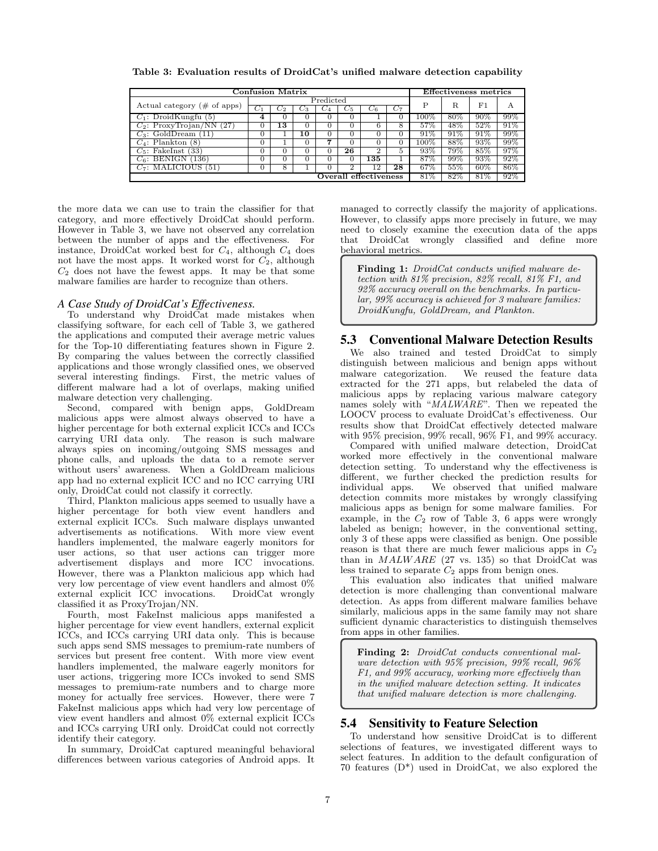| <b>Confusion Matrix</b>                 |                 |     |    |       |         | <b>Effectiveness metrics</b> |       |         |     |     |     |
|-----------------------------------------|-----------------|-----|----|-------|---------|------------------------------|-------|---------|-----|-----|-----|
| Actual category $(\# \text{ of } apps)$ | $\rm Predicted$ |     |    |       |         | Р                            | R     | F1      | А   |     |     |
|                                         |                 | U2. | U3 | $C_4$ | $C_{5}$ | Uβ.                          | $C_7$ |         |     |     |     |
| $C_1$ : DroidKungfu (5)                 | 4               |     |    |       |         |                              |       | $100\%$ | 80% | 90% | 99% |
| $C_2$ : ProxyTrojan/NN (27)             |                 | 13  |    |       |         |                              | 8     | 57%     | 48% | 52% | 91% |
| $C_3$ : GoldDream $(11)$                |                 |     | 10 |       |         |                              |       | 91%     | 91% | 91% | 99% |
| $C_4$ : Plankton (8)                    |                 |     |    | .,    |         |                              |       | $100\%$ | 88% | 93% | 99% |
| $C_5$ : FakeInst (33)                   |                 |     |    |       | 26      |                              | 5     | 93%     | 79% | 85% | 97% |
| $C_6$ : BENIGN (136)                    |                 |     |    |       |         | 135                          |       | 87%     | 99% | 93% | 92% |
| $C_7$ : MALICIOUS (51)                  |                 | 8   |    |       |         | 12                           | 28    | 67%     | 55% | 60% | 86% |
| Overall effectiveness                   |                 |     |    |       |         | 81%                          | 82%   | 81%     | 92% |     |     |

<span id="page-6-2"></span>Table 3: Evaluation results of DroidCat's unified malware detection capability

the more data we can use to train the classifier for that category, and more effectively DroidCat should perform. However in Table [3,](#page-6-2) we have not observed any correlation between the number of apps and the effectiveness. For instance, DroidCat worked best for  $C_4$ , although  $C_4$  does not have the most apps. It worked worst for  $C_2$ , although  $C_2$  does not have the fewest apps. It may be that some malware families are harder to recognize than others.

#### *A Case Study of DroidCat's Effectiveness.*

To understand why DroidCat made mistakes when classifying software, for each cell of Table [3,](#page-6-2) we gathered the applications and computed their average metric values for the Top-10 differentiating features shown in Figure [2.](#page-5-0) By comparing the values between the correctly classified applications and those wrongly classified ones, we observed several interesting findings. First, the metric values of different malware had a lot of overlaps, making unified malware detection very challenging.

Second, compared with benign apps, GoldDream malicious apps were almost always observed to have a higher percentage for both external explicit ICCs and ICCs carrying URI data only. The reason is such malware always spies on incoming/outgoing SMS messages and phone calls, and uploads the data to a remote server without users' awareness. When a GoldDream malicious app had no external explicit ICC and no ICC carrying URI only, DroidCat could not classify it correctly.

Third, Plankton malicious apps seemed to usually have a higher percentage for both view event handlers and external explicit ICCs. Such malware displays unwanted advertisements as notifications. With more view event handlers implemented, the malware eagerly monitors for user actions, so that user actions can trigger more advertisement displays and more ICC invocations. However, there was a Plankton malicious app which had very low percentage of view event handlers and almost 0% external explicit ICC invocations. DroidCat wrongly classified it as ProxyTrojan/NN.

Fourth, most FakeInst malicious apps manifested a higher percentage for view event handlers, external explicit ICCs, and ICCs carrying URI data only. This is because such apps send SMS messages to premium-rate numbers of services but present free content. With more view event handlers implemented, the malware eagerly monitors for user actions, triggering more ICCs invoked to send SMS messages to premium-rate numbers and to charge more money for actually free services. However, there were 7 FakeInst malicious apps which had very low percentage of view event handlers and almost 0% external explicit ICCs and ICCs carrying URI only. DroidCat could not correctly identify their category.

In summary, DroidCat captured meaningful behavioral differences between various categories of Android apps. It managed to correctly classify the majority of applications. However, to classify apps more precisely in future, we may need to closely examine the execution data of the apps that DroidCat wrongly classified and define more behavioral metrics.

Finding 1: DroidCat conducts unified malware detection with 81% precision, 82% recall, 81% F1, and 92% accuracy overall on the benchmarks. In particular, 99% accuracy is achieved for 3 malware families: DroidKungfu, GoldDream, and Plankton.

# <span id="page-6-0"></span>5.3 Conventional Malware Detection Results

We also trained and tested DroidCat to simply distinguish between malicious and benign apps without malware categorization. We reused the feature data extracted for the 271 apps, but relabeled the data of malicious apps by replacing various malware category names solely with "MALWARE". Then we repeated the LOOCV process to evaluate DroidCat's effectiveness. Our results show that DroidCat effectively detected malware with 95% precision, 99% recall, 96% F1, and 99% accuracy.

Compared with unified malware detection, DroidCat worked more effectively in the conventional malware detection setting. To understand why the effectiveness is different, we further checked the prediction results for individual apps. We observed that unified malware detection commits more mistakes by wrongly classifying malicious apps as benign for some malware families. For example, in the  $C_2$  row of Table [3,](#page-6-2) 6 apps were wrongly labeled as benign; however, in the conventional setting, only 3 of these apps were classified as benign. One possible reason is that there are much fewer malicious apps in  $C_2$ than in  $MALWARE$  (27 vs. 135) so that DroidCat was less trained to separate  $C_2$  apps from benign ones.

This evaluation also indicates that unified malware detection is more challenging than conventional malware detection. As apps from different malware families behave similarly, malicious apps in the same family may not share sufficient dynamic characteristics to distinguish themselves from apps in other families.

Finding 2: DroidCat conducts conventional malware detection with 95% precision, 99% recall, 96% F1, and 99% accuracy, working more effectively than in the unified malware detection setting. It indicates that unified malware detection is more challenging.

# <span id="page-6-1"></span>5.4 Sensitivity to Feature Selection

To understand how sensitive DroidCat is to different selections of features, we investigated different ways to select features. In addition to the default configuration of 70 features (D\*) used in DroidCat, we also explored the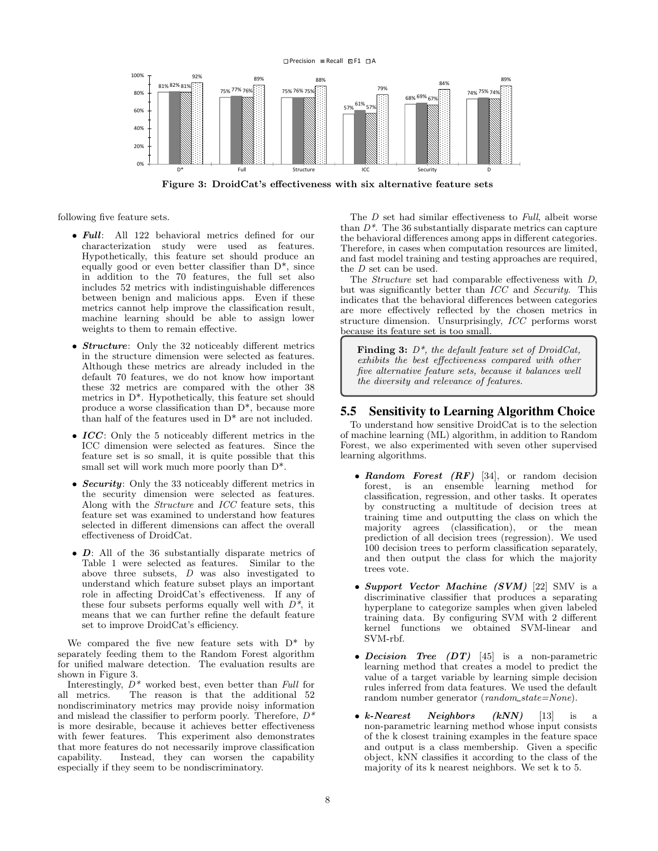

<span id="page-7-1"></span>Figure 3: DroidCat's effectiveness with six alternative feature sets

following five feature sets.

- Full: All 122 behavioral metrics defined for our characterization study were used as features. Hypothetically, this feature set should produce an equally good or even better classifier than  $D^*$ , since in addition to the 70 features, the full set also includes 52 metrics with indistinguishable differences between benign and malicious apps. Even if these metrics cannot help improve the classification result, machine learning should be able to assign lower weights to them to remain effective.
- Structure: Only the 32 noticeably different metrics in the structure dimension were selected as features. Although these metrics are already included in the default 70 features, we do not know how important these 32 metrics are compared with the other 38 metrics in D\*. Hypothetically, this feature set should produce a worse classification than D\*, because more than half of the features used in D\* are not included.
- $ICC$ : Only the 5 noticeably different metrics in the ICC dimension were selected as features. Since the feature set is so small, it is quite possible that this small set will work much more poorly than  $D^*$ .
- Security: Only the 33 noticeably different metrics in the security dimension were selected as features. Along with the Structure and ICC feature sets, this feature set was examined to understand how features selected in different dimensions can affect the overall effectiveness of DroidCat.
- D: All of the 36 substantially disparate metrics of Table [1](#page-3-4) were selected as features. Similar to the above three subsets, D was also investigated to understand which feature subset plays an important role in affecting DroidCat's effectiveness. If any of these four subsets performs equally well with  $D^*$ , it means that we can further refine the default feature set to improve DroidCat's efficiency.

We compared the five new feature sets with  $D^*$  by separately feeding them to the Random Forest algorithm for unified malware detection. The evaluation results are shown in Figure [3.](#page-7-1)

Interestingly,  $D^*$  worked best, even better than Full for all metrics. The reason is that the additional 52 nondiscriminatory metrics may provide noisy information and mislead the classifier to perform poorly. Therefore,  $D^*$ is more desirable, because it achieves better effectiveness with fewer features. This experiment also demonstrates that more features do not necessarily improve classification capability. Instead, they can worsen the capability especially if they seem to be nondiscriminatory.

The D set had similar effectiveness to Full, albeit worse than  $D^*$ . The 36 substantially disparate metrics can capture the behavioral differences among apps in different categories. Therefore, in cases when computation resources are limited, and fast model training and testing approaches are required, the D set can be used.

The Structure set had comparable effectiveness with D, but was significantly better than ICC and Security. This indicates that the behavioral differences between categories are more effectively reflected by the chosen metrics in structure dimension. Unsurprisingly, ICC performs worst because its feature set is too small.

Finding 3:  $D^*$ , the default feature set of DroidCat, exhibits the best effectiveness compared with other five alternative feature sets, because it balances well the diversity and relevance of features.

### <span id="page-7-0"></span>5.5 Sensitivity to Learning Algorithm Choice

To understand how sensitive DroidCat is to the selection of machine learning (ML) algorithm, in addition to Random Forest, we also experimented with seven other supervised learning algorithms.

- Random Forest  $(RF)$  [\[34\]](#page-10-18), or random decision forest, is an ensemble learning method for classification, regression, and other tasks. It operates by constructing a multitude of decision trees at training time and outputting the class on which the majority agrees (classification), or the mean prediction of all decision trees (regression). We used 100 decision trees to perform classification separately, and then output the class for which the majority trees vote.
- Support Vector Machine  $(SVM)$  [\[22\]](#page-10-19) SMV is a discriminative classifier that produces a separating hyperplane to categorize samples when given labeled training data. By configuring SVM with 2 different kernel functions we obtained SVM-linear and SVM-rbf.
- Decision Tree  $(DT)$  [\[45\]](#page-11-15) is a non-parametric learning method that creates a model to predict the value of a target variable by learning simple decision rules inferred from data features. We used the default random number generator (random\_state=None).
- $k\text{-}Nearest$  Neighbors  $(kNN)$  [\[13\]](#page-10-20) is a non-parametric learning method whose input consists of the k closest training examples in the feature space and output is a class membership. Given a specific object, kNN classifies it according to the class of the majority of its k nearest neighbors. We set k to 5.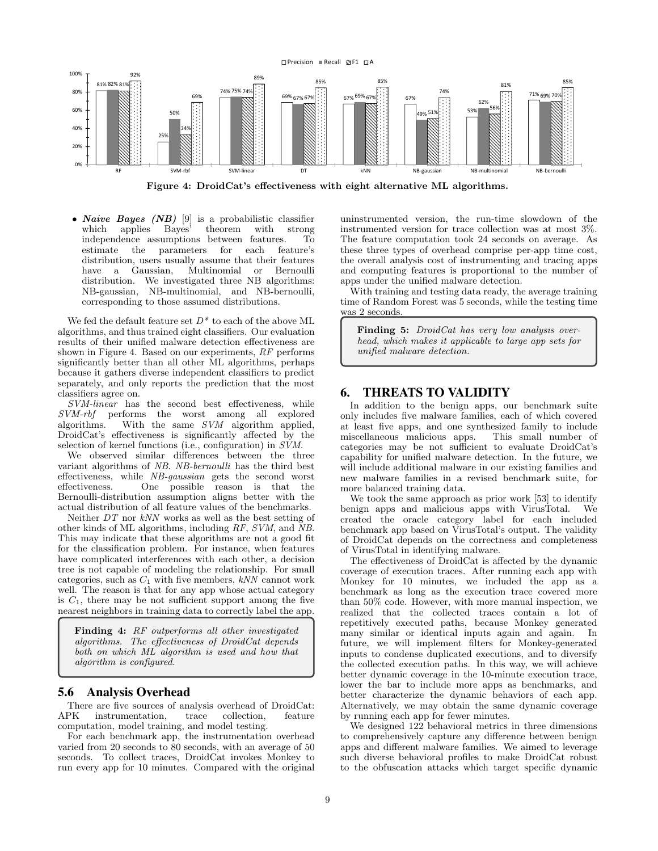

<span id="page-8-1"></span>Figure 4: DroidCat's effectiveness with eight alternative ML algorithms.

• *Naive Bayes (NB)* [\[9\]](#page-10-21) is a probabilistic classifier which applies Bayes' theorem with strong which applies Bayes' theorem with strong independence assumptions between features. To estimate the parameters for each feature's distribution, users usually assume that their features have a Gaussian, Multinomial or Bernoulli distribution. We investigated three NB algorithms: NB-gaussian, NB-multinomial, and NB-bernoulli, corresponding to those assumed distributions.

We fed the default feature set  $D^*$  to each of the above ML algorithms, and thus trained eight classifiers. Our evaluation results of their unified malware detection effectiveness are shown in Figure [4.](#page-8-1) Based on our experiments, RF performs significantly better than all other ML algorithms, perhaps because it gathers diverse independent classifiers to predict separately, and only reports the prediction that the most classifiers agree on.

SVM-linear has the second best effectiveness, while SVM-rbf performs the worst among all explored algorithms. With the same SVM algorithm applied, DroidCat's effectiveness is significantly affected by the selection of kernel functions (i.e., configuration) in SVM.

We observed similar differences between the three variant algorithms of NB. NB-bernoulli has the third best effectiveness, while NB-gaussian gets the second worst effectiveness. One possible reason is that the Bernoulli-distribution assumption aligns better with the actual distribution of all feature values of the benchmarks.

Neither DT nor kNN works as well as the best setting of other kinds of ML algorithms, including RF, SVM, and NB. This may indicate that these algorithms are not a good fit for the classification problem. For instance, when features have complicated interferences with each other, a decision tree is not capable of modeling the relationship. For small categories, such as  $C_1$  with five members,  $kNN$  cannot work well. The reason is that for any app whose actual category is  $C_1$ , there may be not sufficient support among the five nearest neighbors in training data to correctly label the app.

Finding 4: RF outperforms all other investigated algorithms. The effectiveness of DroidCat depends both on which ML algorithm is used and how that algorithm is configured.

# <span id="page-8-0"></span>5.6 Analysis Overhead

There are five sources of analysis overhead of DroidCat:<br>APK instrumentation, trace collection, feature trace collection, computation, model training, and model testing.

For each benchmark app, the instrumentation overhead varied from 20 seconds to 80 seconds, with an average of 50 seconds. To collect traces, DroidCat invokes Monkey to run every app for 10 minutes. Compared with the original uninstrumented version, the run-time slowdown of the instrumented version for trace collection was at most 3%. The feature computation took 24 seconds on average. As these three types of overhead comprise per-app time cost, the overall analysis cost of instrumenting and tracing apps and computing features is proportional to the number of apps under the unified malware detection.

With training and testing data ready, the average training time of Random Forest was 5 seconds, while the testing time was 2 seconds.

Finding 5: DroidCat has very low analysis overhead, which makes it applicable to large app sets for unified malware detection.

# 6. THREATS TO VALIDITY

In addition to the benign apps, our benchmark suite only includes five malware families, each of which covered at least five apps, and one synthesized family to include miscellaneous malicious apps. categories may be not sufficient to evaluate DroidCat's capability for unified malware detection. In the future, we will include additional malware in our existing families and new malware families in a revised benchmark suite, for more balanced training data.

We took the same approach as prior work [\[53\]](#page-11-22) to identify benign apps and malicious apps with VirusTotal. We created the oracle category label for each included benchmark app based on VirusTotal's output. The validity of DroidCat depends on the correctness and completeness of VirusTotal in identifying malware.

The effectiveness of DroidCat is affected by the dynamic coverage of execution traces. After running each app with Monkey for 10 minutes, we included the app as a benchmark as long as the execution trace covered more than 50% code. However, with more manual inspection, we realized that the collected traces contain a lot of repetitively executed paths, because Monkey generated many similar or identical inputs again and again. In future, we will implement filters for Monkey-generated inputs to condense duplicated executions, and to diversify the collected execution paths. In this way, we will achieve better dynamic coverage in the 10-minute execution trace, lower the bar to include more apps as benchmarks, and better characterize the dynamic behaviors of each app. Alternatively, we may obtain the same dynamic coverage by running each app for fewer minutes.

We designed  $12\overline{2}$  behavioral metrics in three dimensions to comprehensively capture any difference between benign apps and different malware families. We aimed to leverage such diverse behavioral profiles to make DroidCat robust to the obfuscation attacks which target specific dynamic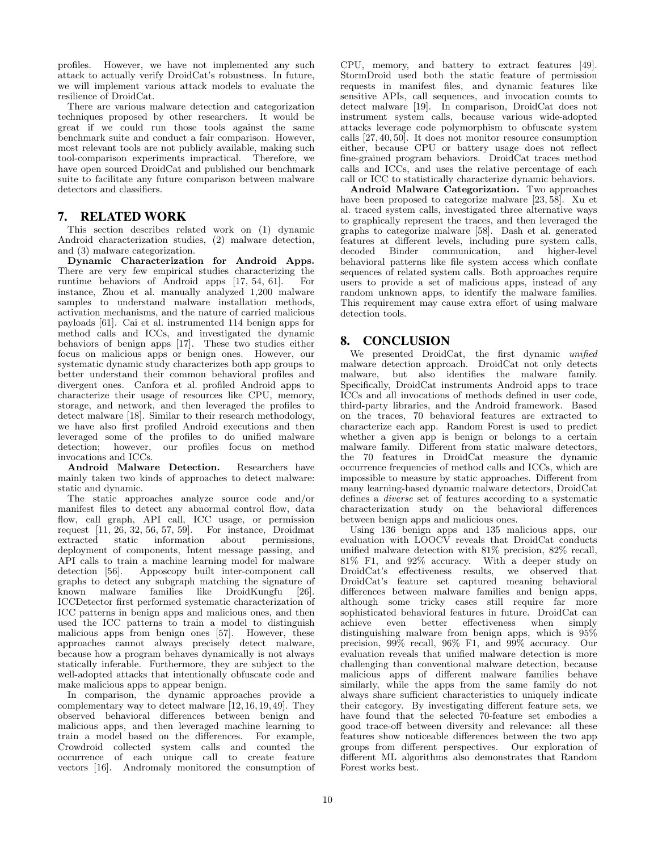profiles. However, we have not implemented any such attack to actually verify DroidCat's robustness. In future, we will implement various attack models to evaluate the resilience of DroidCat.

There are various malware detection and categorization techniques proposed by other researchers. It would be great if we could run those tools against the same benchmark suite and conduct a fair comparison. However, most relevant tools are not publicly available, making such tool-comparison experiments impractical. Therefore, we have open sourced DroidCat and published our benchmark suite to facilitate any future comparison between malware detectors and classifiers.

# 7. RELATED WORK

This section describes related work on (1) dynamic Android characterization studies, (2) malware detection, and (3) malware categorization.

Dynamic Characterization for Android Apps. There are very few empirical studies characterizing the runtime behaviors of Android apps [17, 54, 61]. For runtime behaviors of Android apps  $[17, 54, 61]$  $[17, 54, 61]$  $[17, 54, 61]$ . instance, Zhou et al. manually analyzed 1,200 malware samples to understand malware installation methods, activation mechanisms, and the nature of carried malicious payloads [\[61\]](#page-11-19). Cai et al. instrumented 114 benign apps for method calls and ICCs, and investigated the dynamic behaviors of benign apps [\[17\]](#page-10-24). These two studies either focus on malicious apps or benign ones. However, our systematic dynamic study characterizes both app groups to better understand their common behavioral profiles and divergent ones. Canfora et al. profiled Android apps to characterize their usage of resources like CPU, memory, storage, and network, and then leveraged the profiles to detect malware [\[18\]](#page-10-34). Similar to their research methodology, we have also first profiled Android executions and then leveraged some of the profiles to do unified malware detection; however, our profiles focus on method invocations and ICCs.

Android Malware Detection. Researchers have mainly taken two kinds of approaches to detect malware: static and dynamic.

The static approaches analyze source code and/or manifest files to detect any abnormal control flow, data flow, call graph, API call, ICC usage, or permission request [\[11,](#page-10-8) [26,](#page-10-2) [32,](#page-10-4) [56,](#page-11-5) [57,](#page-11-24) [59\]](#page-11-25). For instance, Droidmat extracted static information about deployment of components, Intent message passing, and API calls to train a machine learning model for malware detection [\[56\]](#page-11-5). Apposcopy built inter-component call graphs to detect any subgraph matching the signature of known malware families like DroidKungfu [\[26\]](#page-10-2). ICCDetector first performed systematic characterization of ICC patterns in benign apps and malicious ones, and then used the ICC patterns to train a model to distinguish malicious apps from benign ones [\[57\]](#page-11-24). However, these approaches cannot always precisely detect malware, because how a program behaves dynamically is not always statically inferable. Furthermore, they are subject to the well-adopted attacks that intentionally obfuscate code and make malicious apps to appear benign.

In comparison, the dynamic approaches provide a complementary way to detect malware [\[12,](#page-10-11) [16,](#page-10-12) [19,](#page-10-13) [49\]](#page-11-7). They observed behavioral differences between benign and malicious apps, and then leveraged machine learning to train a model based on the differences. For example, Crowdroid collected system calls and counted the occurrence of each unique call to create feature vectors [\[16\]](#page-10-12). Andromaly monitored the consumption of CPU, memory, and battery to extract features [\[49\]](#page-11-7). StormDroid used both the static feature of permission requests in manifest files, and dynamic features like sensitive APIs, call sequences, and invocation counts to detect malware [\[19\]](#page-10-13). In comparison, DroidCat does not instrument system calls, because various wide-adopted attacks leverage code polymorphism to obfuscate system calls [\[27,](#page-10-16) [40,](#page-11-11) [50\]](#page-11-12). It does not monitor resource consumption either, because CPU or battery usage does not reflect fine-grained program behaviors. DroidCat traces method calls and ICCs, and uses the relative percentage of each call or ICC to statistically characterize dynamic behaviors.

Android Malware Categorization. Two approaches have been proposed to categorize malware [\[23,](#page-10-17) [58\]](#page-11-13). Xu et al. traced system calls, investigated three alternative ways to graphically represent the traces, and then leveraged the graphs to categorize malware [\[58\]](#page-11-13). Dash et al. generated features at different levels, including pure system calls, decoded Binder communication, behavioral patterns like file system access which conflate sequences of related system calls. Both approaches require users to provide a set of malicious apps, instead of any random unknown apps, to identify the malware families. This requirement may cause extra effort of using malware detection tools.

# 8. CONCLUSION

We presented DroidCat, the first dynamic unified malware detection approach. DroidCat not only detects malware, but also identifies the malware family. Specifically, DroidCat instruments Android apps to trace ICCs and all invocations of methods defined in user code, third-party libraries, and the Android framework. Based on the traces, 70 behavioral features are extracted to characterize each app. Random Forest is used to predict whether a given app is benign or belongs to a certain malware family. Different from static malware detectors, the 70 features in DroidCat measure the dynamic occurrence frequencies of method calls and ICCs, which are impossible to measure by static approaches. Different from many learning-based dynamic malware detectors, DroidCat defines a diverse set of features according to a systematic characterization study on the behavioral differences between benign apps and malicious ones.

Using 136 benign apps and 135 malicious apps, our evaluation with LOOCV reveals that DroidCat conducts unified malware detection with 81% precision, 82% recall, 81% F1, and 92% accuracy. With a deeper study on DroidCat's effectiveness results, we observed that DroidCat's feature set captured meaning behavioral differences between malware families and benign apps, although some tricky cases still require far more sophisticated behavioral features in future. DroidCat can achieve even better effectiveness when simply distinguishing malware from benign apps, which is 95% precision, 99% recall, 96% F1, and 99% accuracy. Our evaluation reveals that unified malware detection is more challenging than conventional malware detection, because malicious apps of different malware families behave similarly, while the apps from the same family do not always share sufficient characteristics to uniquely indicate their category. By investigating different feature sets, we have found that the selected 70-feature set embodies a good trace-off between diversity and relevance: all these features show noticeable differences between the two app groups from different perspectives. Our exploration of different ML algorithms also demonstrates that Random Forest works best.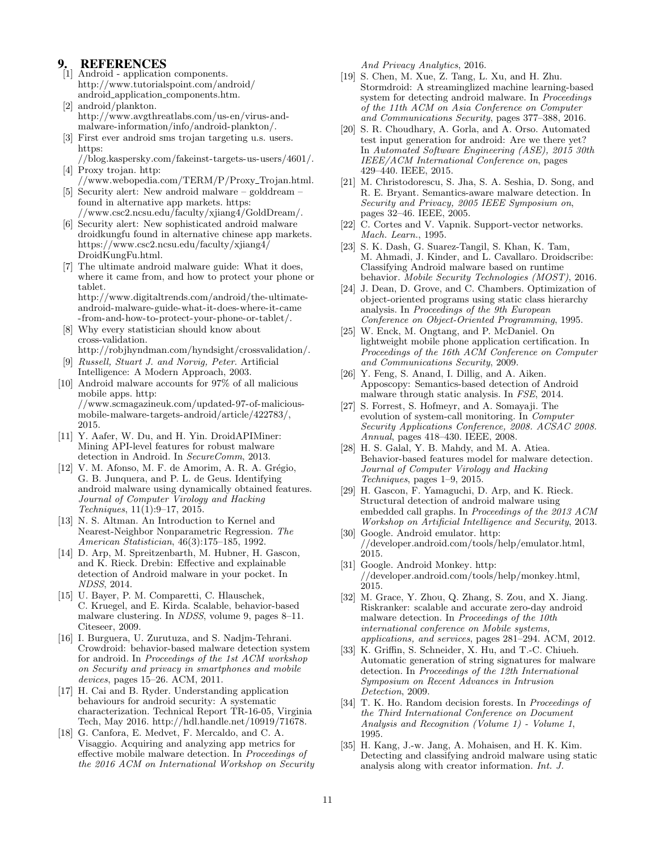# **REFERENCES**

- <span id="page-10-22"></span>[1] Android - application components. http://www.tutorialspoint.[com/android/](http://www.tutorialspoint.com/android/android_application_components.htm) android application [components](http://www.tutorialspoint.com/android/android_application_components.htm).htm.
- <span id="page-10-31"></span>[2] android/plankton. http://www.avgthreatlabs.[com/us-en/virus-and](http://www.avgthreatlabs.com/us-en/virus-and-malware-information/info/android-plankton/)[malware-information/info/android-plankton/.](http://www.avgthreatlabs.com/us-en/virus-and-malware-information/info/android-plankton/)
- <span id="page-10-32"></span>[3] First ever android sms trojan targeting u.s. users. [https:](https://blog.kaspersky.com/fakeinst-targets-us-users/4601/)
- <span id="page-10-29"></span>//blog.kaspersky.[com/fakeinst-targets-us-users/4601/.](https://blog.kaspersky.com/fakeinst-targets-us-users/4601/) [4] Proxy trojan. [http:](http://www.webopedia.com/TERM/P/Proxy_Trojan.html)
- <span id="page-10-30"></span>//www.webopedia.[com/TERM/P/Proxy](http://www.webopedia.com/TERM/P/Proxy_Trojan.html) Trojan.html. [5] Security alert: New android malware – golddream –
- found in alternative app markets. [https:](https://www.csc2.ncsu.edu/faculty/xjiang4/GoldDream/) //www.csc2.ncsu.[edu/faculty/xjiang4/GoldDream/.](https://www.csc2.ncsu.edu/faculty/xjiang4/GoldDream/)
- <span id="page-10-28"></span>[6] Security alert: New sophisticated android malware droidkungfu found in alternative chinese app markets. https://www.csc2.ncsu.[edu/faculty/xjiang4/](https://www.csc2.ncsu.edu/faculty/xjiang4/DroidKungFu.html) [DroidKungFu](https://www.csc2.ncsu.edu/faculty/xjiang4/DroidKungFu.html).html.
- <span id="page-10-1"></span>[7] The ultimate android malware guide: What it does, where it came from, and how to protect your phone or tablet. http://www.digitaltrends.[com/android/the-ultimate](http://www.digitaltrends.com/android/the-ultimate-android-malware-guide-what-it-does-where-it-came)[android-malware-guide-what-it-does-where-it-came](http://www.digitaltrends.com/android/the-ultimate-android-malware-guide-what-it-does-where-it-came)
- <span id="page-10-33"></span>[-from-and-how-to-protect-your-phone-or-tablet/.](-from-and-how-to-protect-your-phone-or-tablet/) [8] Why every statistician should know about cross-validation.

http://robjhyndman.[com/hyndsight/crossvalidation/.](http://robjhyndman.com/hyndsight/crossvalidation/)

- <span id="page-10-21"></span>[9] Russell, Stuart J. and Norvig, Peter. Artificial Intelligence: A Modern Approach, 2003.
- <span id="page-10-0"></span>[10] Android malware accounts for 97% of all malicious mobile apps. [http:](http://www.scmagazineuk.com/updated-97-of-malicious-mobile-malware-targets-android/article/422783/) //www.scmagazineuk.[com/updated-97-of-malicious](http://www.scmagazineuk.com/updated-97-of-malicious-mobile-malware-targets-android/article/422783/)[mobile-malware-targets-android/article/422783/,](http://www.scmagazineuk.com/updated-97-of-malicious-mobile-malware-targets-android/article/422783/) 2015.
- <span id="page-10-8"></span>[11] Y. Aafer, W. Du, and H. Yin. DroidAPIMiner: Mining API-level features for robust malware detection in Android. In SecureComm, 2013.
- <span id="page-10-11"></span> $[12]$  V. M. Afonso, M. F. de Amorim, A. R. A. Grégio, G. B. Junquera, and P. L. de Geus. Identifying android malware using dynamically obtained features. Journal of Computer Virology and Hacking Techniques, 11(1):9–17, 2015.
- <span id="page-10-20"></span>[13] N. S. Altman. An Introduction to Kernel and Nearest-Neighbor Nonparametric Regression. The American Statistician, 46(3):175–185, 1992.
- <span id="page-10-9"></span>[14] D. Arp, M. Spreitzenbarth, M. Hubner, H. Gascon, and K. Rieck. Drebin: Effective and explainable detection of Android malware in your pocket. In NDSS, 2014.
- <span id="page-10-14"></span>[15] U. Bayer, P. M. Comparetti, C. Hlauschek, C. Kruegel, and E. Kirda. Scalable, behavior-based malware clustering. In NDSS, volume 9, pages 8–11. Citeseer, 2009.
- <span id="page-10-12"></span>[16] I. Burguera, U. Zurutuza, and S. Nadjm-Tehrani. Crowdroid: behavior-based malware detection system for android. In Proceedings of the 1st ACM workshop on Security and privacy in smartphones and mobile devices, pages 15–26. ACM, 2011.
- <span id="page-10-24"></span>[17] H. Cai and B. Ryder. Understanding application behaviours for android security: A systematic characterization. Technical Report TR-16-05, Virginia Tech, May 2016. http://hdl.handle.[net/10919/71678.](http://hdl.handle.net/10919/71678)
- <span id="page-10-34"></span>[18] G. Canfora, E. Medvet, F. Mercaldo, and C. A. Visaggio. Acquiring and analyzing app metrics for effective mobile malware detection. In Proceedings of the 2016 ACM on International Workshop on Security

And Privacy Analytics, 2016.

- <span id="page-10-13"></span>[19] S. Chen, M. Xue, Z. Tang, L. Xu, and H. Zhu. Stormdroid: A streaminglized machine learning-based system for detecting android malware. In Proceedings of the 11th ACM on Asia Conference on Computer and Communications Security, pages 377–388, 2016.
- <span id="page-10-27"></span>[20] S. R. Choudhary, A. Gorla, and A. Orso. Automated test input generation for android: Are we there yet? In Automated Software Engineering (ASE), 2015 30th IEEE/ACM International Conference on, pages 429–440. IEEE, 2015.
- <span id="page-10-10"></span>[21] M. Christodorescu, S. Jha, S. A. Seshia, D. Song, and R. E. Bryant. Semantics-aware malware detection. In Security and Privacy, 2005 IEEE Symposium on, pages 32–46. IEEE, 2005.
- <span id="page-10-19"></span>[22] C. Cortes and V. Vapnik. Support-vector networks. Mach. Learn., 1995.
- <span id="page-10-17"></span>[23] S. K. Dash, G. Suarez-Tangil, S. Khan, K. Tam, M. Ahmadi, J. Kinder, and L. Cavallaro. Droidscribe: Classifying Android malware based on runtime behavior. Mobile Security Technologies (MOST), 2016.
- <span id="page-10-23"></span>[24] J. Dean, D. Grove, and C. Chambers. Optimization of object-oriented programs using static class hierarchy analysis. In Proceedings of the 9th European Conference on Object-Oriented Programming, 1995.
- <span id="page-10-6"></span>[25] W. Enck, M. Ongtang, and P. McDaniel. On lightweight mobile phone application certification. In Proceedings of the 16th ACM Conference on Computer and Communications Security, 2009.
- <span id="page-10-2"></span>[26] Y. Feng, S. Anand, I. Dillig, and A. Aiken. Apposcopy: Semantics-based detection of Android malware through static analysis. In FSE, 2014.
- <span id="page-10-16"></span>[27] S. Forrest, S. Hofmeyr, and A. Somayaji. The evolution of system-call monitoring. In Computer Security Applications Conference, 2008. ACSAC 2008. Annual, pages 418–430. IEEE, 2008.
- <span id="page-10-15"></span>[28] H. S. Galal, Y. B. Mahdy, and M. A. Atiea. Behavior-based features model for malware detection. Journal of Computer Virology and Hacking Techniques, pages 1–9, 2015.
- <span id="page-10-3"></span>[29] H. Gascon, F. Yamaguchi, D. Arp, and K. Rieck. Structural detection of android malware using embedded call graphs. In Proceedings of the 2013 ACM Workshop on Artificial Intelligence and Security, 2013.
- <span id="page-10-25"></span>[30] Google. Android emulator. [http:](http://developer.android.com/tools/help/emulator.html) //developer.android.[com/tools/help/emulator](http://developer.android.com/tools/help/emulator.html).html, 2015.
- <span id="page-10-26"></span>[31] Google. Android Monkey. [http:](http://developer.android.com/tools/help/monkey.html) //developer.android.[com/tools/help/monkey](http://developer.android.com/tools/help/monkey.html).html, 2015.
- <span id="page-10-4"></span>[32] M. Grace, Y. Zhou, Q. Zhang, S. Zou, and X. Jiang. Riskranker: scalable and accurate zero-day android malware detection. In Proceedings of the 10th international conference on Mobile systems, applications, and services, pages 281–294. ACM, 2012.
- <span id="page-10-5"></span>[33] K. Griffin, S. Schneider, X. Hu, and T.-C. Chiueh. Automatic generation of string signatures for malware detection. In Proceedings of the 12th International Symposium on Recent Advances in Intrusion Detection, 2009.
- <span id="page-10-18"></span>[34] T. K. Ho. Random decision forests. In Proceedings of the Third International Conference on Document Analysis and Recognition (Volume 1) - Volume 1, 1995.
- <span id="page-10-7"></span>[35] H. Kang, J.-w. Jang, A. Mohaisen, and H. K. Kim. Detecting and classifying android malware using static analysis along with creator information. Int. J.